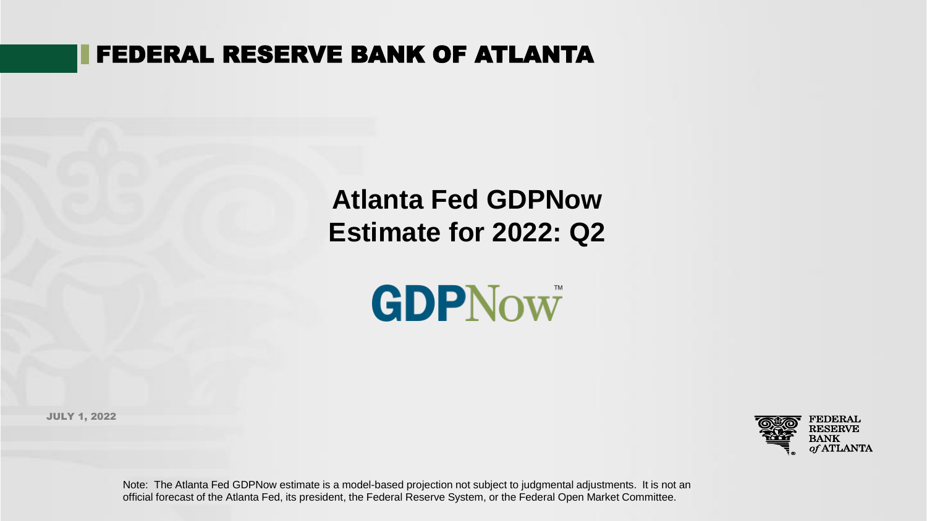# FEDERAL RESERVE BANK OF ATLANTA

# **Atlanta Fed GDPNow Estimate for 2022: Q2**



JULY 1, 2022



Note: The Atlanta Fed GDPNow estimate is a model-based projection not subject to judgmental adjustments. It is not an official forecast of the Atlanta Fed, its president, the Federal Reserve System, or the Federal Open Market Committee.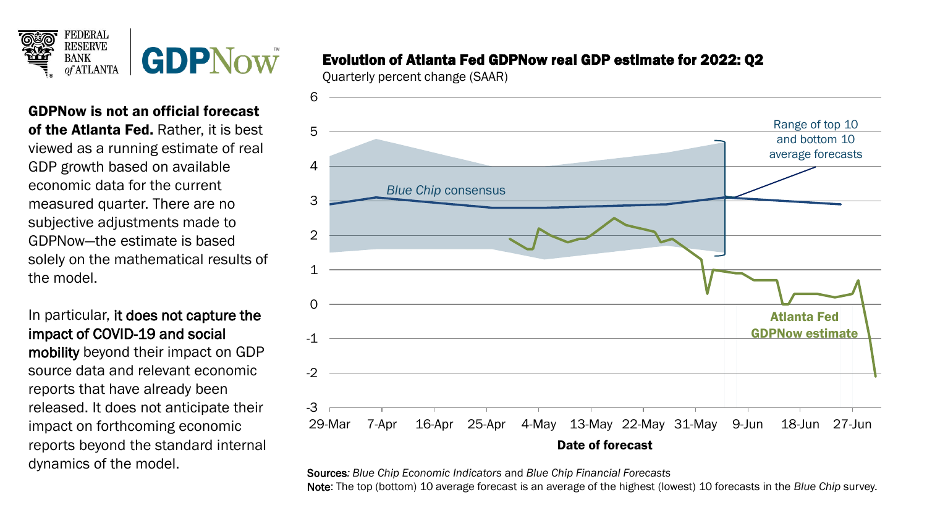

GDPNow is not an official forecast of the Atlanta Fed. Rather, it is best viewed as a running estimate of real GDP growth based on available economic data for the current measured quarter. There are no subjective adjustments made to GDPNow—the estimate is based solely on the mathematical results of the model.

In particular, it does not capture the impact of COVID-19 and social mobility beyond their impact on GDP source data and relevant economic reports that have already been released. It does not anticipate their impact on forthcoming economic reports beyond the standard internal dynamics of the model.

## Evolution of Atlanta Fed GDPNow real GDP estimate for 2022: Q2

Quarterly percent change (SAAR)



Sources*: Blue Chip Economic Indicators* and *Blue Chip Financial Forecasts* Note: The top (bottom) 10 average forecast is an average of the highest (lowest) 10 forecasts in the *Blue Chip* survey.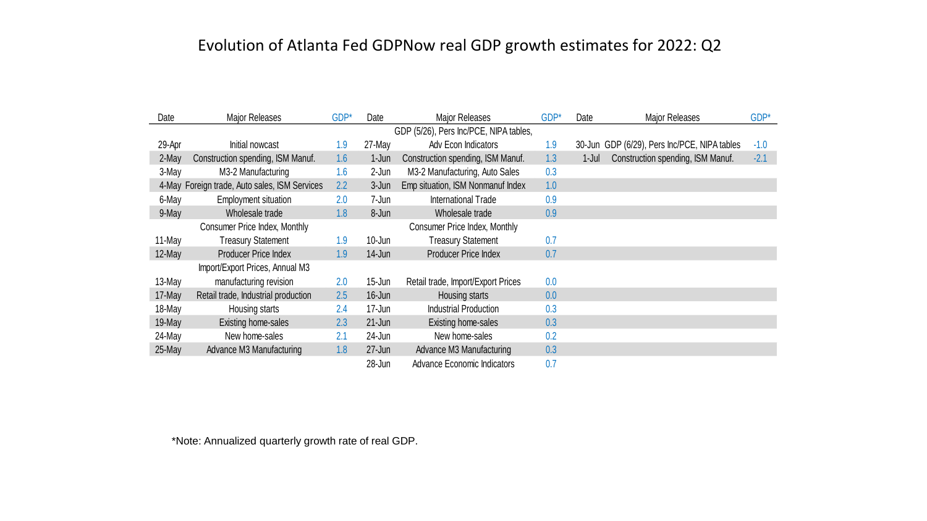# Evolution of Atlanta Fed GDPNow real GDP growth estimates for 2022: Q2

| Date                                   | Major Releases                                | GDP* | Date       | <b>Major Releases</b>              | GDP* | Date      | <b>Major Releases</b>                        | GDP*   |  |
|----------------------------------------|-----------------------------------------------|------|------------|------------------------------------|------|-----------|----------------------------------------------|--------|--|
| GDP (5/26), Pers Inc/PCE, NIPA tables, |                                               |      |            |                                    |      |           |                                              |        |  |
| 29-Apr                                 | Initial nowcast                               | 1.9  | 27-May     | Adv Econ Indicators                | 1.9  |           | 30-Jun GDP (6/29), Pers Inc/PCE, NIPA tables | $-1.0$ |  |
| 2-May                                  | Construction spending, ISM Manuf.             | 1.6  | $1$ -Jun   | Construction spending, ISM Manuf.  | 1.3  | $1 -$ Jul | Construction spending, ISM Manuf.            | $-2.1$ |  |
| 3-May                                  | M3-2 Manufacturing                            | 1.6  | 2-Jun      | M3-2 Manufacturing, Auto Sales     | 0.3  |           |                                              |        |  |
|                                        | 4-May Foreign trade, Auto sales, ISM Services | 2.2  | 3-Jun      | Emp situation, ISM Nonmanuf Index  | 1.0  |           |                                              |        |  |
| 6-May                                  | <b>Employment situation</b>                   | 2.0  | 7-Jun      | International Trade                | 0.9  |           |                                              |        |  |
| 9-May                                  | Wholesale trade                               | 1.8  | 8-Jun      | Wholesale trade                    | 0.9  |           |                                              |        |  |
|                                        | Consumer Price Index, Monthly                 |      |            | Consumer Price Index, Monthly      |      |           |                                              |        |  |
| 11-May                                 | <b>Treasury Statement</b>                     | 1.9  | 10-Jun     | <b>Treasury Statement</b>          | 0.7  |           |                                              |        |  |
| 12-May                                 | Producer Price Index                          | 1.9  | $14$ -Jun  | <b>Producer Price Index</b>        | 0.7  |           |                                              |        |  |
|                                        | Import/Export Prices, Annual M3               |      |            |                                    |      |           |                                              |        |  |
| 13-May                                 | manufacturing revision                        | 2.0  | $15$ -Jun  | Retail trade, Import/Export Prices | 0.0  |           |                                              |        |  |
| 17-May                                 | Retail trade, Industrial production           | 2.5  | 16-Jun     | Housing starts                     | 0.0  |           |                                              |        |  |
| 18-May                                 | Housing starts                                | 2.4  | 17-Jun     | <b>Industrial Production</b>       | 0.3  |           |                                              |        |  |
| 19-May                                 | Existing home-sales                           | 2.3  | $21 - Jun$ | Existing home-sales                | 0.3  |           |                                              |        |  |
| 24-May                                 | New home-sales                                | 2.1  | 24-Jun     | New home-sales                     | 0.2  |           |                                              |        |  |
| 25-May                                 | Advance M3 Manufacturing                      | 1.8  | $27 - Jun$ | Advance M3 Manufacturing           | 0.3  |           |                                              |        |  |
|                                        |                                               |      | 28-Jun     | <b>Advance Economic Indicators</b> | 0.7  |           |                                              |        |  |

\*Note: Annualized quarterly growth rate of real GDP.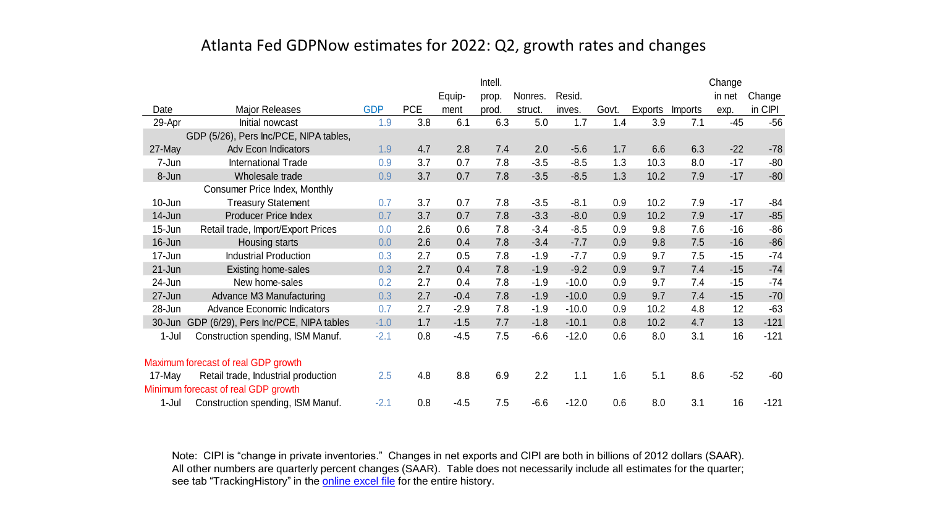### Atlanta Fed GDPNow estimates for 2022: Q2, growth rates and changes

|            |                                        |            |            |        | Intell. |         |         |       |         |         | Change |         |
|------------|----------------------------------------|------------|------------|--------|---------|---------|---------|-------|---------|---------|--------|---------|
|            |                                        |            |            | Equip- | prop.   | Nonres. | Resid.  |       |         |         | in net | Change  |
| Date       | Major Releases                         | <b>GDP</b> | <b>PCE</b> | ment   | prod.   | struct. | inves.  | Govt. | Exports | Imports | exp.   | in CIPI |
| 29-Apr     | Initial nowcast                        | 1.9        | 3.8        | 6.1    | 6.3     | 5.0     | 1.7     | 1.4   | 3.9     | 7.1     | $-45$  | $-56$   |
|            | GDP (5/26), Pers Inc/PCE, NIPA tables, |            |            |        |         |         |         |       |         |         |        |         |
| 27-May     | <b>Adv Econ Indicators</b>             | 1.9        | 4.7        | 2.8    | 7.4     | 2.0     | $-5.6$  | 1.7   | 6.6     | 6.3     | $-22$  | $-78$   |
| 7-Jun      | International Trade                    | 0.9        | 3.7        | 0.7    | 7.8     | $-3.5$  | $-8.5$  | 1.3   | 10.3    | 8.0     | $-17$  | $-80$   |
| 8-Jun      | Wholesale trade                        | 0.9        | 3.7        | 0.7    | 7.8     | $-3.5$  | $-8.5$  | 1.3   | 10.2    | 7.9     | $-17$  | $-80$   |
|            | Consumer Price Index, Monthly          |            |            |        |         |         |         |       |         |         |        |         |
| $10 - Jun$ | <b>Treasury Statement</b>              | 0.7        | 3.7        | 0.7    | 7.8     | $-3.5$  | $-8.1$  | 0.9   | 10.2    | 7.9     | $-17$  | $-84$   |
| 14-Jun     | <b>Producer Price Index</b>            | 0.7        | 3.7        | 0.7    | 7.8     | $-3.3$  | $-8.0$  | 0.9   | 10.2    | 7.9     | $-17$  | $-85$   |
| 15-Jun     | Retail trade, Import/Export Prices     | 0.0        | 2.6        | 0.6    | 7.8     | $-3.4$  | $-8.5$  | 0.9   | 9.8     | 7.6     | $-16$  | $-86$   |
| 16-Jun     | Housing starts                         | 0.0        | 2.6        | 0.4    | 7.8     | $-3.4$  | $-7.7$  | 0.9   | 9.8     | 7.5     | $-16$  | $-86$   |
| 17-Jun     | <b>Industrial Production</b>           | 0.3        | 2.7        | 0.5    | 7.8     | $-1.9$  | $-7.7$  | 0.9   | 9.7     | 7.5     | $-15$  | $-74$   |
| $21 - Jun$ | Existing home-sales                    | 0.3        | 2.7        | 0.4    | 7.8     | $-1.9$  | $-9.2$  | 0.9   | 9.7     | 7.4     | $-15$  | $-74$   |
| 24-Jun     | New home-sales                         | 0.2        | 2.7        | 0.4    | 7.8     | $-1.9$  | $-10.0$ | 0.9   | 9.7     | 7.4     | $-15$  | $-74$   |
| 27-Jun     | Advance M3 Manufacturing               | 0.3        | 2.7        | $-0.4$ | 7.8     | $-1.9$  | $-10.0$ | 0.9   | 9.7     | 7.4     | $-15$  | $-70$   |
| 28-Jun     | <b>Advance Economic Indicators</b>     | 0.7        | 2.7        | $-2.9$ | 7.8     | $-1.9$  | $-10.0$ | 0.9   | 10.2    | 4.8     | 12     | $-63$   |
| $30 - Jun$ | GDP (6/29), Pers Inc/PCE, NIPA tables  | $-1.0$     | 1.7        | $-1.5$ | 7.7     | $-1.8$  | $-10.1$ | 0.8   | 10.2    | 4.7     | 13     | $-121$  |
| 1-Jul      | Construction spending, ISM Manuf.      | $-2.1$     | 0.8        | $-4.5$ | 7.5     | $-6.6$  | $-12.0$ | 0.6   | 8.0     | 3.1     | 16     | $-121$  |
|            | Maximum forecast of real GDP growth    |            |            |        |         |         |         |       |         |         |        |         |
| 17-May     | Retail trade, Industrial production    | 2.5        | 4.8        | 8.8    | 6.9     | 2.2     | 1.1     | 1.6   | 5.1     | 8.6     | $-52$  | $-60$   |
|            | Minimum forecast of real GDP growth    |            |            |        |         |         |         |       |         |         |        |         |
| 1-Jul      | Construction spending, ISM Manuf.      | $-2.1$     | 0.8        | $-4.5$ | 7.5     | $-6.6$  | $-12.0$ | 0.6   | 8.0     | 3.1     | 16     | $-121$  |

Note: CIPI is "change in private inventories." Changes in net exports and CIPI are both in billions of 2012 dollars (SAAR). All other numbers are quarterly percent changes (SAAR). Table does not necessarily include all estimates for the quarter; see tab "TrackingHistory" in the **online excel file** for the entire history.